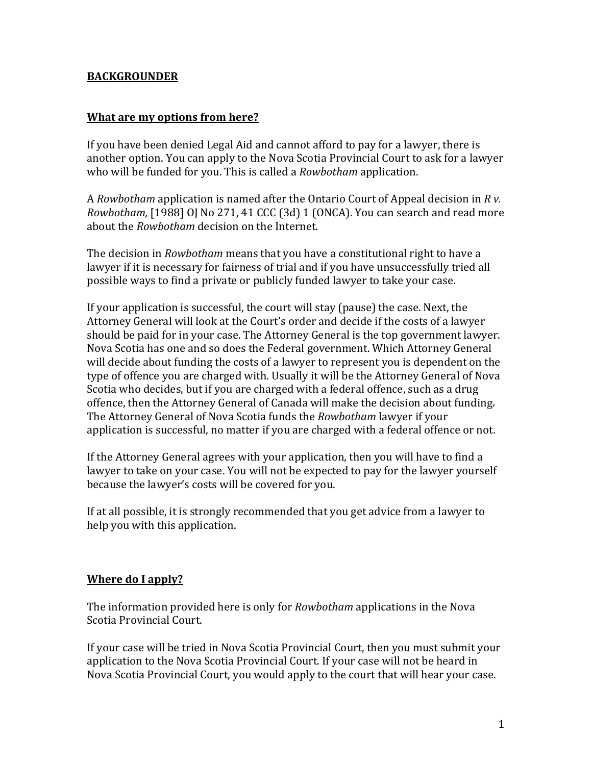### **BACKGROUNDER**

### **What are my options from here?**

If you have been denied Legal Aid and cannot afford to pay for a lawyer, there is another option. You can apply to the Nova Scotia Provincial Court to ask for a lawyer who will be funded for you. This is called a *Rowbotham* application.

A *Rowbotham* application is named after the Ontario Court of Appeal decision in *R v. Rowbotham,* [1988] OJ No 271, 41 CCC (3d) 1 (ONCA). You can search and read more about the *Rowbotham* decision on the Internet.

The decision in *Rowbotham* means that you have a constitutional right to have a lawyer if it is necessary for fairness of trial and if you have unsuccessfully tried all possible ways to find a private or publicly funded lawyer to take your case.

If your application is successful, the court will stay (pause) the case. Next, the Attorney General will look at the Court's order and decide if the costs of a lawyer should be paid for in your case. The Attorney General is the top government lawyer. Nova Scotia has one and so does the Federal government. Which Attorney General will decide about funding the costs of a lawyer to represent you is dependent on the type of offence you are charged with. Usually it will be the Attorney General of Nova Scotia who decides, but if you are charged with a federal offence, such as a drug offence, then the Attorney General of Canada will make the decision about funding. The Attorney General of Nova Scotia funds the *Rowbotham* lawyer if your application is successful, no matter if you are charged with a federal offence or not.

If the Attorney General agrees with your application, then you will have to find a lawyer to take on your case. You will not be expected to pay for the lawyer yourself because the lawyer's costs will be covered for you.

If at all possible, it is strongly recommended that you get advice from a lawyer to help you with this application.

### **Where do I apply?**

The information provided here is only for *Rowbotham* applications in the Nova Scotia Provincial Court.

If your case will be tried in Nova Scotia Provincial Court, then you must submit your application to the Nova Scotia Provincial Court. If your case will not be heard in Nova Scotia Provincial Court, you would apply to the court that will hear your case.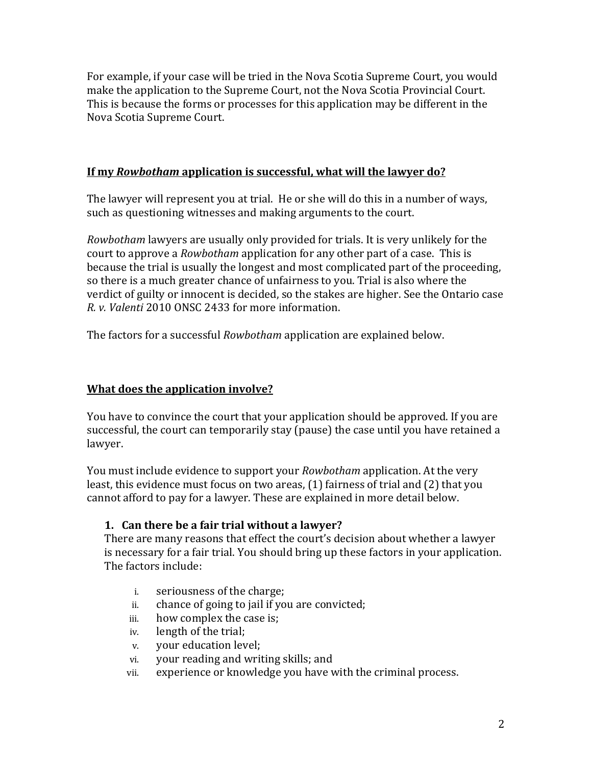For example, if your case will be tried in the Nova Scotia Supreme Court, you would make the application to the Supreme Court, not the Nova Scotia Provincial Court. This is because the forms or processes for this application may be different in the Nova Scotia Supreme Court.

### **If my** *Rowbotham* **application is successful, what will the lawyer do?**

The lawyer will represent you at trial. He or she will do this in a number of ways, such as questioning witnesses and making arguments to the court.

*Rowbotham* lawyers are usually only provided for trials. It is very unlikely for the court to approve a *Rowbotham* application for any other part of a case. This is because the trial is usually the longest and most complicated part of the proceeding, so there is a much greater chance of unfairness to you. Trial is also where the verdict of guilty or innocent is decided, so the stakes are higher. See the Ontario case *R. v. Valenti* 2010 ONSC 2433 for more information.

The factors for a successful *Rowbotham* application are explained below.

## **What does the application involve?**

You have to convince the court that your application should be approved. If you are successful, the court can temporarily stay (pause) the case until you have retained a lawyer.

You must include evidence to support your *Rowbotham* application. At the very least, this evidence must focus on two areas, (1) fairness of trial and (2) that you cannot afford to pay for a lawyer. These are explained in more detail below.

### **1. Can there be a fair trial without a lawyer?**

There are many reasons that effect the court's decision about whether a lawyer is necessary for a fair trial. You should bring up these factors in your application. The factors include:

- i. seriousness of the charge;
- ii. chance of going to jail if you are convicted;<br>iii. how complex the case is:
- iii. how complex the case is;<br>iv. length of the trial:
- length of the trial;
- v. your education level;
- vi. your reading and writing skills; and<br>vii. experience or knowledge you have v
- experience or knowledge you have with the criminal process.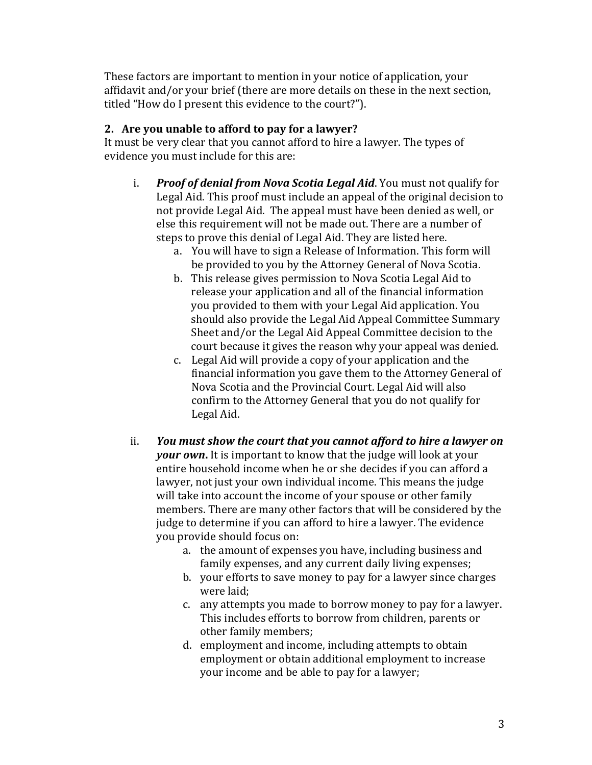These factors are important to mention in your notice of application, your affidavit and/or your brief (there are more details on these in the next section, titled "How do I present this evidence to the court?").

# **2. Are you unable to afford to pay for a lawyer?**

It must be very clear that you cannot afford to hire a lawyer. The types of evidence you must include for this are:

- i. *Proof of denial from Nova Scotia Legal Aid*. You must not qualify for Legal Aid. This proof must include an appeal of the original decision to not provide Legal Aid. The appeal must have been denied as well, or else this requirement will not be made out. There are a number of steps to prove this denial of Legal Aid. They are listed here.
	- a. You will have to sign a Release of Information. This form will be provided to you by the Attorney General of Nova Scotia.
	- b. This release gives permission to Nova Scotia Legal Aid to release your application and all of the financial information you provided to them with your Legal Aid application. You should also provide the Legal Aid Appeal Committee Summary Sheet and/or the Legal Aid Appeal Committee decision to the court because it gives the reason why your appeal was denied.
	- c. Legal Aid will provide a copy of your application and the financial information you gave them to the Attorney General of Nova Scotia and the Provincial Court. Legal Aid will also confirm to the Attorney General that you do not qualify for Legal Aid.
- ii. *You must show the court that you cannot afford to hire a lawyer on your own***.** It is important to know that the judge will look at your entire household income when he or she decides if you can afford a lawyer, not just your own individual income. This means the judge will take into account the income of your spouse or other family members. There are many other factors that will be considered by the judge to determine if you can afford to hire a lawyer. The evidence you provide should focus on:
	- a. the amount of expenses you have, including business and family expenses, and any current daily living expenses;
	- b. your efforts to save money to pay for a lawyer since charges were laid;
	- c. any attempts you made to borrow money to pay for a lawyer. This includes efforts to borrow from children, parents or other family members;
	- d. employment and income, including attempts to obtain employment or obtain additional employment to increase your income and be able to pay for a lawyer;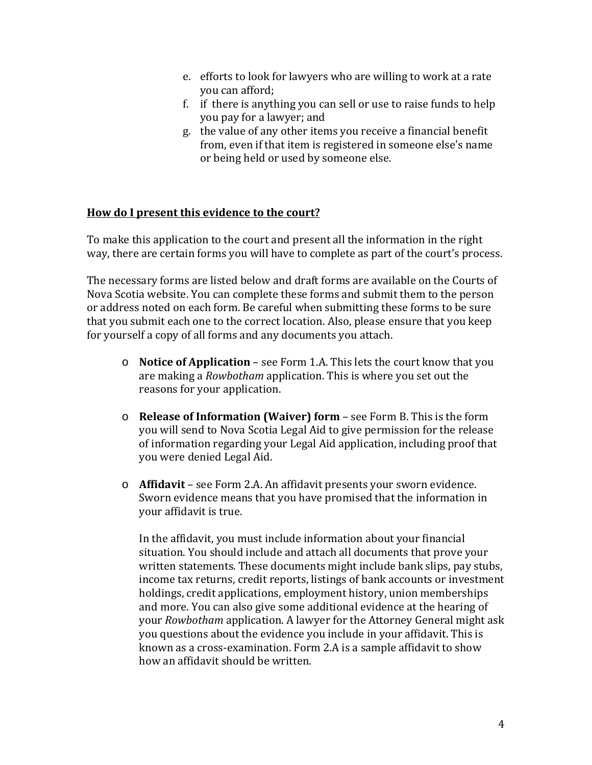- e. efforts to look for lawyers who are willing to work at a rate you can afford;
- f. if there is anything you can sell or use to raise funds to help you pay for a lawyer; and
- g. the value of any other items you receive a financial benefit from, even if that item is registered in someone else's name or being held or used by someone else.

### **How do I present this evidence to the court?**

To make this application to the court and present all the information in the right way, there are certain forms you will have to complete as part of the court's process.

The necessary forms are listed below and draft forms are available on the Courts of Nova Scotia website. You can complete these forms and submit them to the person or address noted on each form. Be careful when submitting these forms to be sure that you submit each one to the correct location. Also, please ensure that you keep for yourself a copy of all forms and any documents you attach.

- o **Notice of Application** see Form 1.A. This lets the court know that you are making a *Rowbotham* application. This is where you set out the reasons for your application.
- o **Release of Information (Waiver) form** see Form B. This is the form you will send to Nova Scotia Legal Aid to give permission for the release of information regarding your Legal Aid application, including proof that you were denied Legal Aid.
- o **Affidavit** see Form 2.A. An affidavit presents your sworn evidence. Sworn evidence means that you have promised that the information in your affidavit is true.

In the affidavit, you must include information about your financial situation. You should include and attach all documents that prove your written statements. These documents might include bank slips, pay stubs, income tax returns, credit reports, listings of bank accounts or investment holdings, credit applications, employment history, union memberships and more. You can also give some additional evidence at the hearing of your *Rowbotham* application. A lawyer for the Attorney General might ask you questions about the evidence you include in your affidavit. This is known as a cross-examination. Form 2.A is a sample affidavit to show how an affidavit should be written.